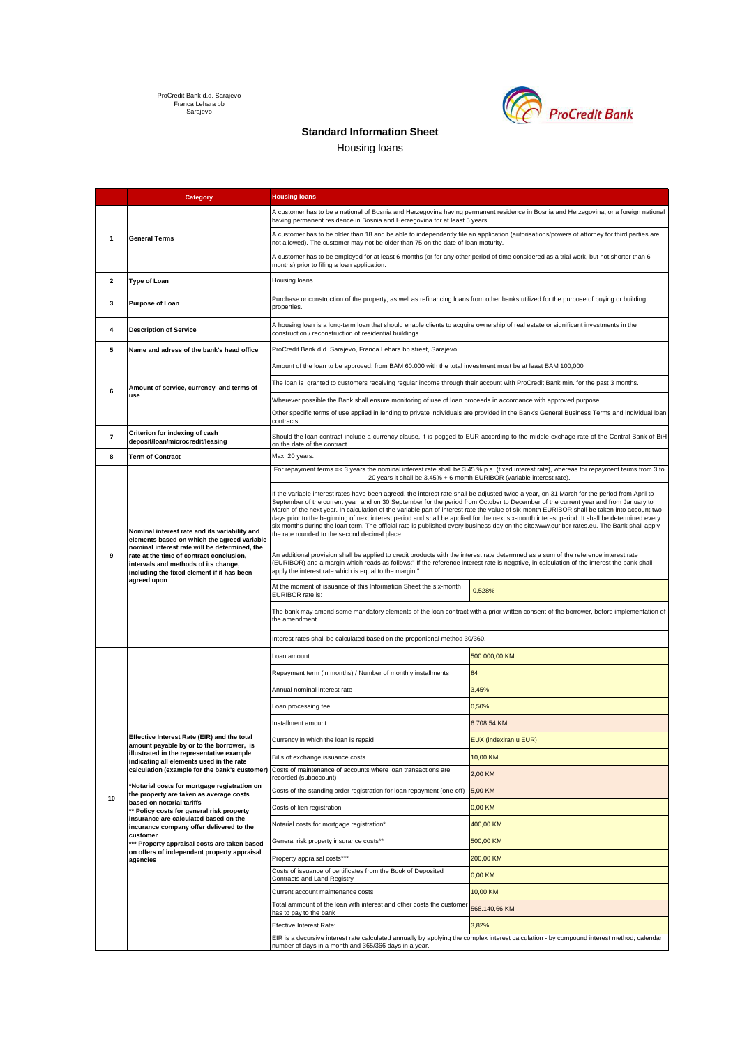ProCredit Bank d.d. Sarajevo Franca Lehara bb Sarajevo



## **Standard Information Sheet**

Housing loans

|    | Category                                                                                                                                                                                                                                                                                                                                                                                                                                                                                                                                                                                                         | <b>Housing loans</b>                                                                                                                                                                                                                                                                                                                                                                                                                                                                                                                                                                                                                                                                                                                                                            |                              |  |
|----|------------------------------------------------------------------------------------------------------------------------------------------------------------------------------------------------------------------------------------------------------------------------------------------------------------------------------------------------------------------------------------------------------------------------------------------------------------------------------------------------------------------------------------------------------------------------------------------------------------------|---------------------------------------------------------------------------------------------------------------------------------------------------------------------------------------------------------------------------------------------------------------------------------------------------------------------------------------------------------------------------------------------------------------------------------------------------------------------------------------------------------------------------------------------------------------------------------------------------------------------------------------------------------------------------------------------------------------------------------------------------------------------------------|------------------------------|--|
| 1  | <b>General Terms</b>                                                                                                                                                                                                                                                                                                                                                                                                                                                                                                                                                                                             | A customer has to be a national of Bosnia and Herzegovina having permanent residence in Bosnia and Herzegovina, or a foreign national<br>having permanent residence in Bosnia and Herzegovina for at least 5 years.                                                                                                                                                                                                                                                                                                                                                                                                                                                                                                                                                             |                              |  |
|    |                                                                                                                                                                                                                                                                                                                                                                                                                                                                                                                                                                                                                  | A customer has to be older than 18 and be able to independently file an application (autorisations/powers of attorney for third parties are<br>not allowed). The customer may not be older than 75 on the date of loan maturity.                                                                                                                                                                                                                                                                                                                                                                                                                                                                                                                                                |                              |  |
|    |                                                                                                                                                                                                                                                                                                                                                                                                                                                                                                                                                                                                                  | A customer has to be employed for at least 6 months (or for any other period of time considered as a trial work, but not shorter than 6<br>months) prior to filing a loan application.                                                                                                                                                                                                                                                                                                                                                                                                                                                                                                                                                                                          |                              |  |
| 2  | <b>Type of Loan</b>                                                                                                                                                                                                                                                                                                                                                                                                                                                                                                                                                                                              | Housing loans                                                                                                                                                                                                                                                                                                                                                                                                                                                                                                                                                                                                                                                                                                                                                                   |                              |  |
| 3  | <b>Purpose of Loan</b>                                                                                                                                                                                                                                                                                                                                                                                                                                                                                                                                                                                           | Purchase or construction of the property, as well as refinancing loans from other banks utilized for the purpose of buying or building<br>properties.                                                                                                                                                                                                                                                                                                                                                                                                                                                                                                                                                                                                                           |                              |  |
| 4  | <b>Description of Service</b>                                                                                                                                                                                                                                                                                                                                                                                                                                                                                                                                                                                    | A housing loan is a long-term loan that should enable clients to acquire ownership of real estate or significant investments in the<br>construction / reconstruction of residential buildings.                                                                                                                                                                                                                                                                                                                                                                                                                                                                                                                                                                                  |                              |  |
| 5  | Name and adress of the bank's head office                                                                                                                                                                                                                                                                                                                                                                                                                                                                                                                                                                        | ProCredit Bank d.d. Sarajevo, Franca Lehara bb street, Sarajevo                                                                                                                                                                                                                                                                                                                                                                                                                                                                                                                                                                                                                                                                                                                 |                              |  |
|    | Amount of service, currency and terms of<br>use                                                                                                                                                                                                                                                                                                                                                                                                                                                                                                                                                                  | Amount of the loan to be approved: from BAM 60.000 with the total investment must be at least BAM 100,000                                                                                                                                                                                                                                                                                                                                                                                                                                                                                                                                                                                                                                                                       |                              |  |
|    |                                                                                                                                                                                                                                                                                                                                                                                                                                                                                                                                                                                                                  | The loan is granted to customers receiving regular income through their account with ProCredit Bank min. for the past 3 months.                                                                                                                                                                                                                                                                                                                                                                                                                                                                                                                                                                                                                                                 |                              |  |
| 6  |                                                                                                                                                                                                                                                                                                                                                                                                                                                                                                                                                                                                                  | Wherever possible the Bank shall ensure monitoring of use of loan proceeds in accordance with approved purpose.                                                                                                                                                                                                                                                                                                                                                                                                                                                                                                                                                                                                                                                                 |                              |  |
|    |                                                                                                                                                                                                                                                                                                                                                                                                                                                                                                                                                                                                                  | Other specific terms of use applied in lending to private individuals are provided in the Bank's General Business Terms and individual loan<br>contracts.                                                                                                                                                                                                                                                                                                                                                                                                                                                                                                                                                                                                                       |                              |  |
| 7  | Criterion for indexing of cash<br>deposit/loan/microcredit/leasing                                                                                                                                                                                                                                                                                                                                                                                                                                                                                                                                               | Should the loan contract include a currency clause, it is pegged to EUR according to the middle exchage rate of the Central Bank of BiH<br>on the date of the contract.                                                                                                                                                                                                                                                                                                                                                                                                                                                                                                                                                                                                         |                              |  |
| 8  | <b>Term of Contract</b>                                                                                                                                                                                                                                                                                                                                                                                                                                                                                                                                                                                          | Max. 20 years.                                                                                                                                                                                                                                                                                                                                                                                                                                                                                                                                                                                                                                                                                                                                                                  |                              |  |
|    | Nominal interest rate and its variability and<br>elements based on which the agreed variable<br>nominal interest rate will be determined, the<br>rate at the time of contract conclusion,<br>intervals and methods of its change,<br>including the fixed element if it has been<br>agreed upon                                                                                                                                                                                                                                                                                                                   | For repayment terms =< 3 years the nominal interest rate shall be 3.45 % p.a. (fixed interest rate), whereas for repayment terms from 3 to<br>20 years it shall be 3,45% + 6-month EURIBOR (variable interest rate).                                                                                                                                                                                                                                                                                                                                                                                                                                                                                                                                                            |                              |  |
| 9  |                                                                                                                                                                                                                                                                                                                                                                                                                                                                                                                                                                                                                  | If the variable interest rates have been agreed, the interest rate shall be adjusted twice a year, on 31 March for the period from April to<br>September of the current year, and on 30 September for the period from October to December of the current year and from January to<br>March of the next year. In calculation of the variable part of interest rate the value of six-month EURIBOR shall be taken into account two<br>days prior to the beginning of next interest period and shall be applied for the next six-month interest period. It shall be determined every<br>six months during the loan term. The official rate is published every business day on the site:www.euribor-rates.eu. The Bank shall apply<br>the rate rounded to the second decimal place. |                              |  |
|    |                                                                                                                                                                                                                                                                                                                                                                                                                                                                                                                                                                                                                  | An additional provision shall be applied to credit products with the interest rate determned as a sum of the reference interest rate<br>(EURIBOR) and a margin which reads as follows:" If the reference interest rate is negative, in calculation of the interest the bank shall<br>apply the interest rate which is equal to the margin."                                                                                                                                                                                                                                                                                                                                                                                                                                     |                              |  |
|    |                                                                                                                                                                                                                                                                                                                                                                                                                                                                                                                                                                                                                  | At the moment of issuance of this Information Sheet the six-month<br>EURIBOR rate is:                                                                                                                                                                                                                                                                                                                                                                                                                                                                                                                                                                                                                                                                                           | $-0.528%$                    |  |
|    |                                                                                                                                                                                                                                                                                                                                                                                                                                                                                                                                                                                                                  | The bank may amend some mandatory elements of the loan contract with a prior written consent of the borrower, before implementation of<br>the amendment.                                                                                                                                                                                                                                                                                                                                                                                                                                                                                                                                                                                                                        |                              |  |
|    |                                                                                                                                                                                                                                                                                                                                                                                                                                                                                                                                                                                                                  | Interest rates shall be calculated based on the proportional method 30/360.                                                                                                                                                                                                                                                                                                                                                                                                                                                                                                                                                                                                                                                                                                     |                              |  |
|    | Effective Interest Rate (EIR) and the total<br>mount payable by or to the borrower, is<br>illustrated in the representative example<br>indicating all elements used in the rate<br>calculation (example for the bank's customer)<br>'Notarial costs for mortgage registration on<br>the property are taken as average costs<br>based on notarial tariffs<br>** Policy costs for general risk property<br>insurance are calculated based on the<br>incurance company offer delivered to the<br>customer<br>** Property appraisal costs are taken based<br>on offers of independent property appraisal<br>agencies | Loan amount                                                                                                                                                                                                                                                                                                                                                                                                                                                                                                                                                                                                                                                                                                                                                                     | 500.000,00 KM                |  |
|    |                                                                                                                                                                                                                                                                                                                                                                                                                                                                                                                                                                                                                  | Repayment term (in months) / Number of monthly installments                                                                                                                                                                                                                                                                                                                                                                                                                                                                                                                                                                                                                                                                                                                     | 84                           |  |
|    |                                                                                                                                                                                                                                                                                                                                                                                                                                                                                                                                                                                                                  | Annual nominal interest rate                                                                                                                                                                                                                                                                                                                                                                                                                                                                                                                                                                                                                                                                                                                                                    | 3,45%                        |  |
|    |                                                                                                                                                                                                                                                                                                                                                                                                                                                                                                                                                                                                                  | Loan processing fee                                                                                                                                                                                                                                                                                                                                                                                                                                                                                                                                                                                                                                                                                                                                                             | 0,50%                        |  |
|    |                                                                                                                                                                                                                                                                                                                                                                                                                                                                                                                                                                                                                  | Installment amount                                                                                                                                                                                                                                                                                                                                                                                                                                                                                                                                                                                                                                                                                                                                                              | 6.708,54 KM                  |  |
|    |                                                                                                                                                                                                                                                                                                                                                                                                                                                                                                                                                                                                                  | Currency in which the loan is repaid                                                                                                                                                                                                                                                                                                                                                                                                                                                                                                                                                                                                                                                                                                                                            | <b>EUX</b> (indexiran u EUR) |  |
|    |                                                                                                                                                                                                                                                                                                                                                                                                                                                                                                                                                                                                                  | Bills of exchange issuance costs                                                                                                                                                                                                                                                                                                                                                                                                                                                                                                                                                                                                                                                                                                                                                | 10,00 KM                     |  |
|    |                                                                                                                                                                                                                                                                                                                                                                                                                                                                                                                                                                                                                  | Costs of maintenance of accounts where loan transactions are<br>recorded (subaccount)                                                                                                                                                                                                                                                                                                                                                                                                                                                                                                                                                                                                                                                                                           | 2,00 KM                      |  |
|    |                                                                                                                                                                                                                                                                                                                                                                                                                                                                                                                                                                                                                  | Costs of the standing order registration for loan repayment (one-off)                                                                                                                                                                                                                                                                                                                                                                                                                                                                                                                                                                                                                                                                                                           | 5,00 KM                      |  |
| 10 |                                                                                                                                                                                                                                                                                                                                                                                                                                                                                                                                                                                                                  | Costs of lien registration                                                                                                                                                                                                                                                                                                                                                                                                                                                                                                                                                                                                                                                                                                                                                      | 0,00 KM                      |  |
|    |                                                                                                                                                                                                                                                                                                                                                                                                                                                                                                                                                                                                                  | Notarial costs for mortgage registration*                                                                                                                                                                                                                                                                                                                                                                                                                                                                                                                                                                                                                                                                                                                                       | 400,00 KM                    |  |
|    |                                                                                                                                                                                                                                                                                                                                                                                                                                                                                                                                                                                                                  | General risk property insurance costs**                                                                                                                                                                                                                                                                                                                                                                                                                                                                                                                                                                                                                                                                                                                                         | 500,00 KM                    |  |
|    |                                                                                                                                                                                                                                                                                                                                                                                                                                                                                                                                                                                                                  | Property appraisal costs***                                                                                                                                                                                                                                                                                                                                                                                                                                                                                                                                                                                                                                                                                                                                                     | 200,00 KM                    |  |
|    |                                                                                                                                                                                                                                                                                                                                                                                                                                                                                                                                                                                                                  | Costs of issuance of certificates from the Book of Deposited<br>Contracts and Land Registry                                                                                                                                                                                                                                                                                                                                                                                                                                                                                                                                                                                                                                                                                     | 0,00 KM                      |  |
|    |                                                                                                                                                                                                                                                                                                                                                                                                                                                                                                                                                                                                                  | Current account maintenance costs                                                                                                                                                                                                                                                                                                                                                                                                                                                                                                                                                                                                                                                                                                                                               | 10,00 KM                     |  |
|    |                                                                                                                                                                                                                                                                                                                                                                                                                                                                                                                                                                                                                  | Total ammount of the loan with interest and other costs the customer<br>has to pay to the bank                                                                                                                                                                                                                                                                                                                                                                                                                                                                                                                                                                                                                                                                                  | 568.140,66 KM                |  |
|    |                                                                                                                                                                                                                                                                                                                                                                                                                                                                                                                                                                                                                  | Efective Interest Rate:                                                                                                                                                                                                                                                                                                                                                                                                                                                                                                                                                                                                                                                                                                                                                         | 3,82%                        |  |
|    |                                                                                                                                                                                                                                                                                                                                                                                                                                                                                                                                                                                                                  | EIR is a decursive interest rate calculated annually by applying the complex interest calculation - by compound interest method; calendar<br>number of days in a month and 365/366 days in a year.                                                                                                                                                                                                                                                                                                                                                                                                                                                                                                                                                                              |                              |  |